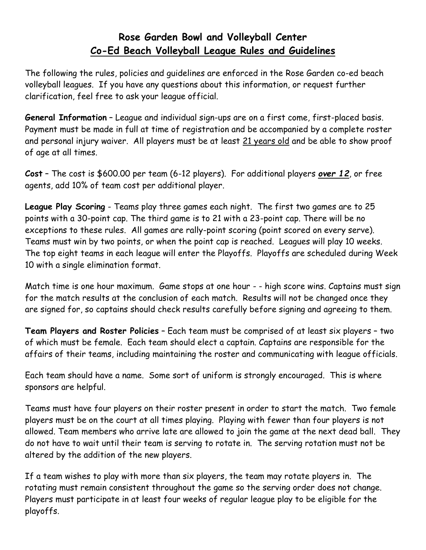## **Rose Garden Bowl and Volleyball Center Co-Ed Beach Volleyball League Rules and Guidelines**

The following the rules, policies and guidelines are enforced in the Rose Garden co-ed beach volleyball leagues. If you have any questions about this information, or request further clarification, feel free to ask your league official.

**General Information** – League and individual sign-ups are on a first come, first-placed basis. Payment must be made in full at time of registration and be accompanied by a complete roster and personal injury waiver. All players must be at least 21 years old and be able to show proof of age at all times.

**Cost** – The cost is \$600.00 per team (6-12 players). For additional players *over 12*, or free agents, add 10% of team cost per additional player.

**League Play Scoring** - Teams play three games each night. The first two games are to 25 points with a 30-point cap. The third game is to 21 with a 23-point cap. There will be no exceptions to these rules. All games are rally-point scoring (point scored on every serve). Teams must win by two points, or when the point cap is reached. Leagues will play 10 weeks. The top eight teams in each league will enter the Playoffs. Playoffs are scheduled during Week 10 with a single elimination format.

Match time is one hour maximum. Game stops at one hour - - high score wins. Captains must sign for the match results at the conclusion of each match. Results will not be changed once they are signed for, so captains should check results carefully before signing and agreeing to them.

**Team Players and Roster Policies** – Each team must be comprised of at least six players – two of which must be female. Each team should elect a captain. Captains are responsible for the affairs of their teams, including maintaining the roster and communicating with league officials.

Each team should have a name. Some sort of uniform is strongly encouraged. This is where sponsors are helpful.

Teams must have four players on their roster present in order to start the match. Two female players must be on the court at all times playing. Playing with fewer than four players is not allowed. Team members who arrive late are allowed to join the game at the next dead ball. They do not have to wait until their team is serving to rotate in. The serving rotation must not be altered by the addition of the new players.

If a team wishes to play with more than six players, the team may rotate players in. The rotating must remain consistent throughout the game so the serving order does not change. Players must participate in at least four weeks of regular league play to be eligible for the playoffs.